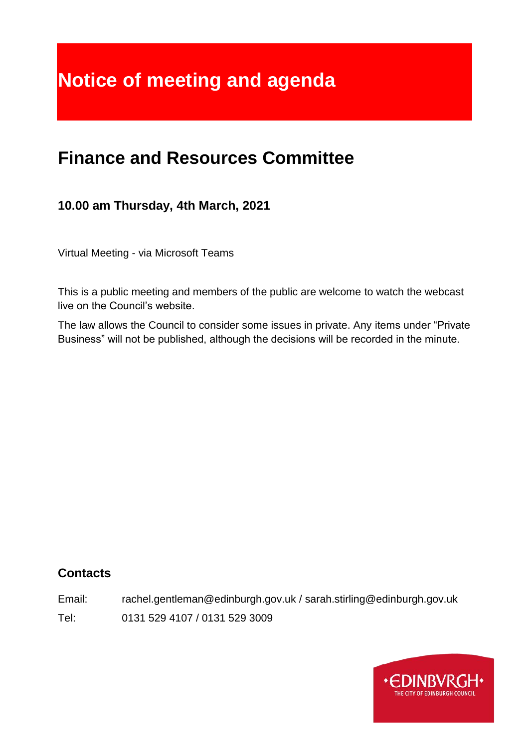# **Notice of meeting and agenda**

# **Finance and Resources Committee**

# **10.00 am Thursday, 4th March, 2021**

Virtual Meeting - via Microsoft Teams

This is a public meeting and members of the public are welcome to watch the webcast live on the Council's website.

The law allows the Council to consider some issues in private. Any items under "Private Business" will not be published, although the decisions will be recorded in the minute.

# **Contacts**

Email: rachel.gentleman@edinburgh.gov.uk / sarah.stirling@edinburgh.gov.uk

Tel: 0131 529 4107 / 0131 529 3009

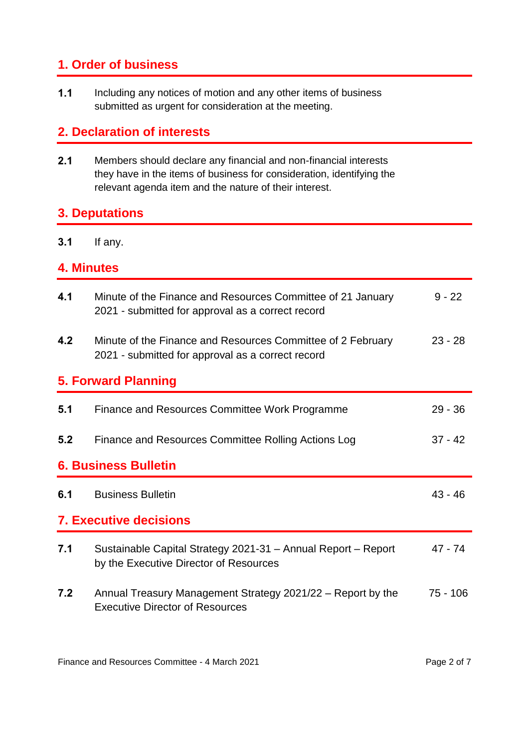# **1. Order of business**

**1.1** Including any notices of motion and any other items of business submitted as urgent for consideration at the meeting.

# **2. Declaration of interests**

**2.1** Members should declare any financial and non-financial interests they have in the items of business for consideration, identifying the relevant agenda item and the nature of their interest.

#### **3. Deputations**

**3.1** If any.

#### **4. Minutes**

| 4.1                           | Minute of the Finance and Resources Committee of 21 January<br>2021 - submitted for approval as a correct record | $9 - 22$   |  |  |  |
|-------------------------------|------------------------------------------------------------------------------------------------------------------|------------|--|--|--|
| 4.2                           | Minute of the Finance and Resources Committee of 2 February<br>2021 - submitted for approval as a correct record | $23 - 28$  |  |  |  |
|                               | <b>5. Forward Planning</b>                                                                                       |            |  |  |  |
| 5.1                           | Finance and Resources Committee Work Programme                                                                   | $29 - 36$  |  |  |  |
| 5.2                           | Finance and Resources Committee Rolling Actions Log                                                              | $37 - 42$  |  |  |  |
| <b>6. Business Bulletin</b>   |                                                                                                                  |            |  |  |  |
| 6.1                           | <b>Business Bulletin</b>                                                                                         | 43 - 46    |  |  |  |
| <b>7. Executive decisions</b> |                                                                                                                  |            |  |  |  |
| 7.1                           | Sustainable Capital Strategy 2021-31 - Annual Report - Report<br>by the Executive Director of Resources          | 47 - 74    |  |  |  |
| 7.2                           | Annual Treasury Management Strategy 2021/22 - Report by the                                                      | $75 - 106$ |  |  |  |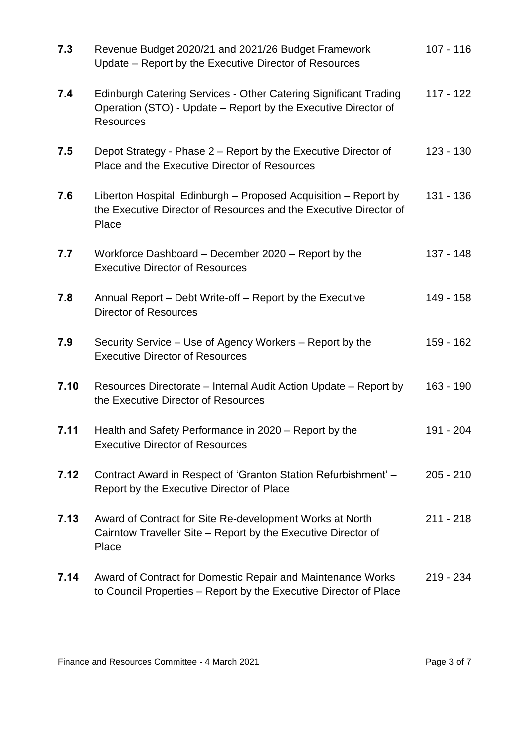| 7.3  | Revenue Budget 2020/21 and 2021/26 Budget Framework<br>Update - Report by the Executive Director of Resources                                          | $107 - 116$ |
|------|--------------------------------------------------------------------------------------------------------------------------------------------------------|-------------|
| 7.4  | Edinburgh Catering Services - Other Catering Significant Trading<br>Operation (STO) - Update - Report by the Executive Director of<br><b>Resources</b> | $117 - 122$ |
| 7.5  | Depot Strategy - Phase 2 – Report by the Executive Director of<br>Place and the Executive Director of Resources                                        | $123 - 130$ |
| 7.6  | Liberton Hospital, Edinburgh – Proposed Acquisition – Report by<br>the Executive Director of Resources and the Executive Director of<br>Place          | 131 - 136   |
| 7.7  | Workforce Dashboard – December 2020 – Report by the<br><b>Executive Director of Resources</b>                                                          | 137 - 148   |
| 7.8  | Annual Report – Debt Write-off – Report by the Executive<br><b>Director of Resources</b>                                                               | 149 - 158   |
| 7.9  | Security Service – Use of Agency Workers – Report by the<br><b>Executive Director of Resources</b>                                                     | 159 - 162   |
| 7.10 | Resources Directorate – Internal Audit Action Update – Report by<br>the Executive Director of Resources                                                | 163 - 190   |
| 7.11 | Health and Safety Performance in 2020 - Report by the<br><b>Executive Director of Resources</b>                                                        | 191 - 204   |
| 7.12 | Contract Award in Respect of 'Granton Station Refurbishment' -<br>Report by the Executive Director of Place                                            | $205 - 210$ |
| 7.13 | Award of Contract for Site Re-development Works at North<br>Cairntow Traveller Site - Report by the Executive Director of<br>Place                     | $211 - 218$ |
| 7.14 | Award of Contract for Domestic Repair and Maintenance Works<br>to Council Properties - Report by the Executive Director of Place                       | $219 - 234$ |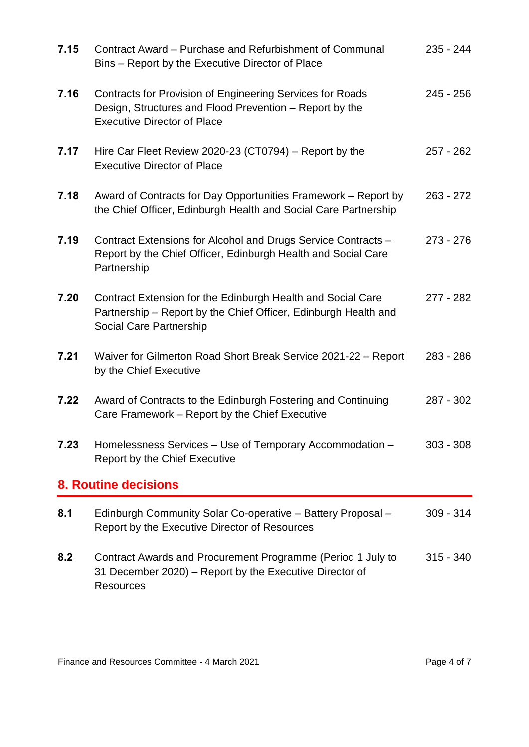| 7.15                        | Contract Award – Purchase and Refurbishment of Communal<br>Bins - Report by the Executive Director of Place                                                | $235 - 244$ |  |  |
|-----------------------------|------------------------------------------------------------------------------------------------------------------------------------------------------------|-------------|--|--|
| 7.16                        | Contracts for Provision of Engineering Services for Roads<br>Design, Structures and Flood Prevention – Report by the<br><b>Executive Director of Place</b> | $245 - 256$ |  |  |
| 7.17                        | Hire Car Fleet Review 2020-23 (CT0794) – Report by the<br><b>Executive Director of Place</b>                                                               | $257 - 262$ |  |  |
| 7.18                        | Award of Contracts for Day Opportunities Framework – Report by<br>the Chief Officer, Edinburgh Health and Social Care Partnership                          | $263 - 272$ |  |  |
| 7.19                        | Contract Extensions for Alcohol and Drugs Service Contracts -<br>Report by the Chief Officer, Edinburgh Health and Social Care<br>Partnership              | $273 - 276$ |  |  |
| 7.20                        | Contract Extension for the Edinburgh Health and Social Care<br>Partnership – Report by the Chief Officer, Edinburgh Health and<br>Social Care Partnership  | $277 - 282$ |  |  |
| 7.21                        | Waiver for Gilmerton Road Short Break Service 2021-22 - Report<br>by the Chief Executive                                                                   | $283 - 286$ |  |  |
| 7.22                        | Award of Contracts to the Edinburgh Fostering and Continuing<br>Care Framework – Report by the Chief Executive                                             | 287 - 302   |  |  |
| 7.23                        | Homelessness Services - Use of Temporary Accommodation -<br>Report by the Chief Executive                                                                  | $303 - 308$ |  |  |
| <b>8. Routine decisions</b> |                                                                                                                                                            |             |  |  |
| 8.1                         | Edinburgh Community Solar Co-operative - Battery Proposal -<br>Report by the Executive Director of Resources                                               | $309 - 314$ |  |  |
| 8.2                         | Contract Awards and Procurement Programme (Period 1 July to<br>31 December 2020) – Report by the Executive Director of<br><b>Resources</b>                 | $315 - 340$ |  |  |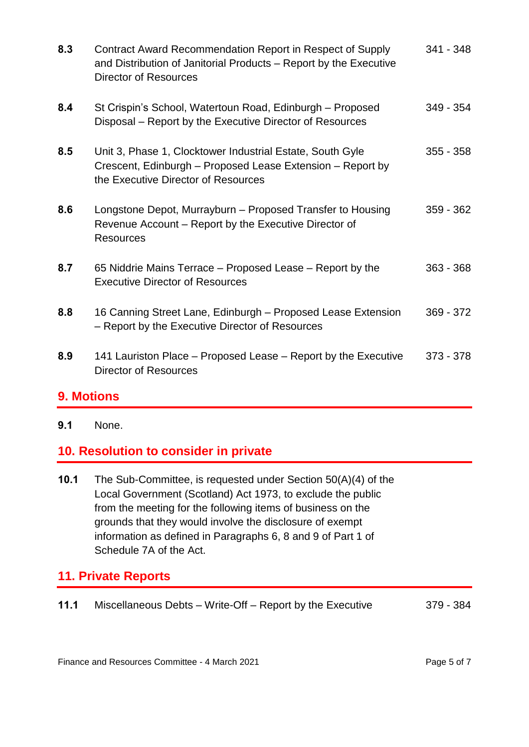| 8.3 | Contract Award Recommendation Report in Respect of Supply<br>and Distribution of Janitorial Products – Report by the Executive<br><b>Director of Resources</b> | 341 - 348   |
|-----|----------------------------------------------------------------------------------------------------------------------------------------------------------------|-------------|
| 8.4 | St Crispin's School, Watertoun Road, Edinburgh – Proposed<br>Disposal – Report by the Executive Director of Resources                                          | $349 - 354$ |
| 8.5 | Unit 3, Phase 1, Clocktower Industrial Estate, South Gyle<br>Crescent, Edinburgh – Proposed Lease Extension – Report by<br>the Executive Director of Resources | $355 - 358$ |
| 8.6 | Longstone Depot, Murrayburn – Proposed Transfer to Housing<br>Revenue Account – Report by the Executive Director of<br><b>Resources</b>                        | 359 - 362   |
| 8.7 | 65 Niddrie Mains Terrace - Proposed Lease - Report by the<br><b>Executive Director of Resources</b>                                                            | $363 - 368$ |
| 8.8 | 16 Canning Street Lane, Edinburgh - Proposed Lease Extension<br>- Report by the Executive Director of Resources                                                | 369 - 372   |
| 8.9 | 141 Lauriston Place – Proposed Lease – Report by the Executive<br><b>Director of Resources</b>                                                                 | 373 - 378   |

# **9. Motions**

**9.1** None.

# **10. Resolution to consider in private**

**10.1** The Sub-Committee, is requested under Section 50(A)(4) of the Local Government (Scotland) Act 1973, to exclude the public from the meeting for the following items of business on the grounds that they would involve the disclosure of exempt information as defined in Paragraphs 6, 8 and 9 of Part 1 of Schedule 7A of the Act.

# **11. Private Reports**

**11.1** Miscellaneous Debts – Write-Off – Report by the Executive 379 - 384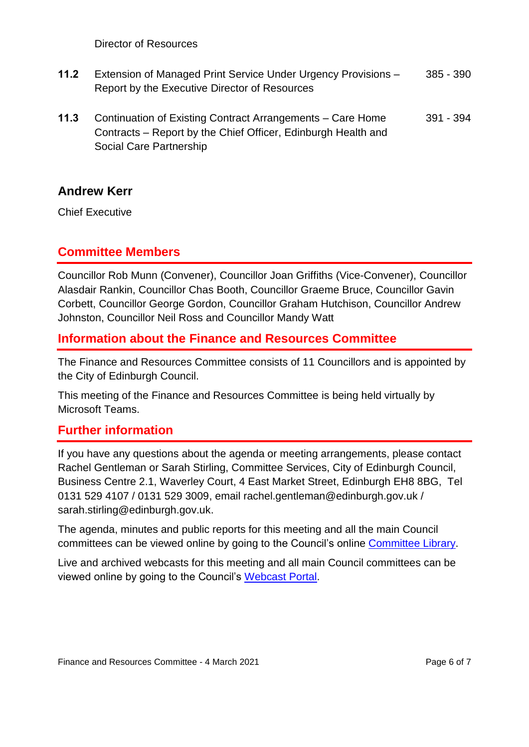Director of Resources

- **11.2** Extension of Managed Print Service Under Urgency Provisions Report by the Executive Director of Resources 385 - 390
- **11.3** Continuation of Existing Contract Arrangements Care Home Contracts – Report by the Chief Officer, Edinburgh Health and Social Care Partnership 391 - 394

#### **Andrew Kerr**

Chief Executive

#### **Committee Members**

Councillor Rob Munn (Convener), Councillor Joan Griffiths (Vice-Convener), Councillor Alasdair Rankin, Councillor Chas Booth, Councillor Graeme Bruce, Councillor Gavin Corbett, Councillor George Gordon, Councillor Graham Hutchison, Councillor Andrew Johnston, Councillor Neil Ross and Councillor Mandy Watt

#### **Information about the Finance and Resources Committee**

The Finance and Resources Committee consists of 11 Councillors and is appointed by the City of Edinburgh Council.

This meeting of the Finance and Resources Committee is being held virtually by Microsoft Teams.

#### **Further information**

If you have any questions about the agenda or meeting arrangements, please contact Rachel Gentleman or Sarah Stirling, Committee Services, City of Edinburgh Council, Business Centre 2.1, Waverley Court, 4 East Market Street, Edinburgh EH8 8BG, Tel 0131 529 4107 / 0131 529 3009, email rachel.gentleman@edinburgh.gov.uk / sarah.stirling@edinburgh.gov.uk.

The agenda, minutes and public reports for this meeting and all the main Council committees can be viewed online by going to the Council's online [Committee Library.](https://democracy.edinburgh.gov.uk/ieDocHome.aspx?bcr=1)

Live and archived webcasts for this meeting and all main Council committees can be viewed online by going to the Council's [Webcast Portal.](https://edinburgh.public-i.tv/core/portal/home)